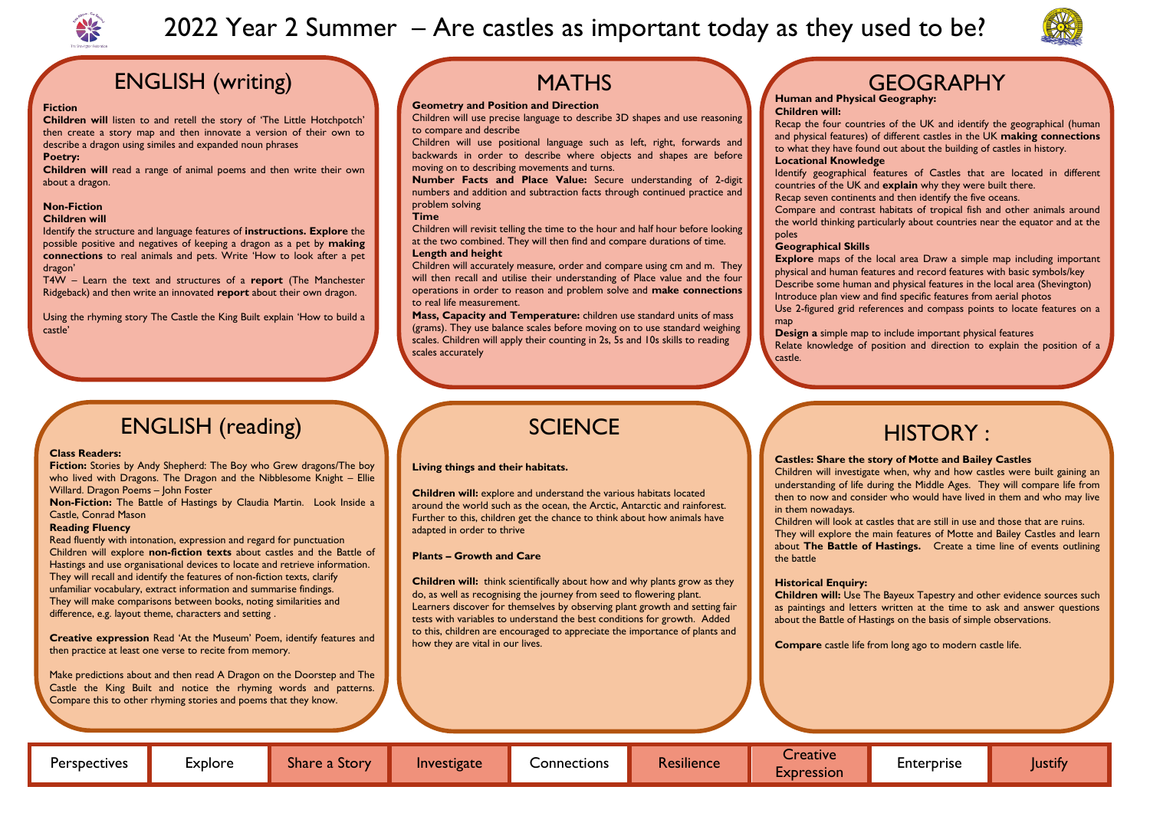

# 2022 Year 2 Summer – Are castles as important today as they used to be?



# **GEOGRAPHY**

## ENGLISH (writing)

### **Fiction**

**Children will** listen to and retell the story of 'The Little Hotchpotch' then create a story map and then innovate a version of their own to describe a dragon using similes and expanded noun phrases

#### **Poetry:**

**Children will** read a range of animal poems and then write their own about a dragon.

### **Non-Fiction**

### **Children will**

Identify the structure and language features of **instructions. Explore** the possible positive and negatives of keeping a dragon as a pet by **making connections** to real animals and pets. Write 'How to look after a pet dragon'

T4W – Learn the text and structures of a **report** (The Manchester Ridgeback) and then write an innovated **report** about their own dragon.

Using the rhyming story The Castle the King Built explain 'How to build a castle'

## **MATHS**

### **Geometry and Position and Direction**

Children will use precise language to describe 3D shapes and use reasoning to compare and describe

Children will use positional language such as left, right, forwards and backwards in order to describe where objects and shapes are before moving on to describing movements and turns.

**Number Facts and Place Value:** Secure understanding of 2-digit numbers and addition and subtraction facts through continued practice and problem solving

### **Time**

Children will revisit telling the time to the hour and half hour before looking at the two combined. They will then find and compare durations of time. **Length and height** 

**Explore** maps of the local area Draw a simple map including important physical and human features and record features with basic symbols/key Describe some human and physical features in the local area (Shevington) Introduce plan view and find specific features from aerial photos Use 2-figured grid references and compass points to locate features on a map

Children will accurately measure, order and compare using cm and m. They will then recall and utilise their understanding of Place value and the four operations in order to reason and problem solve and **make connections**  to real life measurement.

**Mass, Capacity and Temperature:** children use standard units of mass (grams). They use balance scales before moving on to use standard weighing scales. Children will apply their counting in 2s, 5s and 10s skills to reading scales accurately

#### **Human and Physical Geography: Children will:**

Recap the four countries of the UK and identify the geographical (human and physical features) of different castles in the UK **making connections** to what they have found out about the building of castles in history. **Locational Knowledge**  Identify geographical features of Castles that are located in different countries of the UK and **explain** why they were built there. Recap seven continents and then identify the five oceans. Compare and contrast habitats of tropical fish and other animals around the world thinking particularly about countries near the equator and at the poles

**Children will:** explore and understand the various habitats located around the world such as the ocean, the Arctic, Antarctic and rainforest. Further to this, children get the chance to think about how animals have adapted in order to thrive

### **Geographical Skills**

**Children will:** think scientifically about how and why plants grow as they do, as well as recognising the journey from seed to flowering plant. Learners discover for themselves by observing plant growth and setting fair tests with variables to understand the best conditions for growth. Added to this, children are encouraged to appreciate the importance of plants and how they are vital in our lives.

**Design a** simple map to include important physical features Relate knowledge of position and direction to explain the position of a

castle.

## ENGLISH (reading)

### **Class Readers:**

**Fiction:** Stories by Andy Shepherd: The Boy who Grew dragons/The boy who lived with Dragons. The Dragon and the Nibblesome Knight – Ellie Willard. Dragon Poems – John Foster

**Non-Fiction:** The Battle of Hastings by Claudia Martin. Look Inside a Castle, Conrad Mason

### **Reading Fluency**

Read fluently with intonation, expression and regard for punctuation Children will explore **non-fiction texts** about castles and the Battle of Hastings and use organisational devices to locate and retrieve information. They will recall and identify the features of non-fiction texts, clarify unfamiliar vocabulary, extract information and summarise findings. They will make comparisons between books, noting similarities and difference, e.g. layout theme, characters and setting .

**Creative expression** Read 'At the Museum' Poem, identify features and then practice at least one verse to recite from memory.

Make predictions about and then read A Dragon on the Doorstep and The Castle the King Built and notice the rhyming words and patterns. Compare this to other rhyming stories and poems that they know.

## **SCIENCE**

# HISTORY :

### **Castles: Share the story of Motte and Bailey Castles**

Children will investigate when, why and how castles were built gaining an understanding of life during the Middle Ages. They will compare life from then to now and consider who would have lived in them and who may live

in them nowadays. the battle

Children will look at castles that are still in use and those that are ruins. They will explore the main features of Motte and Bailey Castles and learn about **The Battle of Hastings.** Create a time line of events outlining



**Historical Enquiry: Children will:** Use The Bayeux Tapestry and other evidence sources such as paintings and letters written at the time to ask and answer questions about the Battle of Hastings on the basis of simple observations.

**Compare** castle life from long ago to modern castle life.

### **Living things and their habitats.**

### **Plants – Growth and Care**